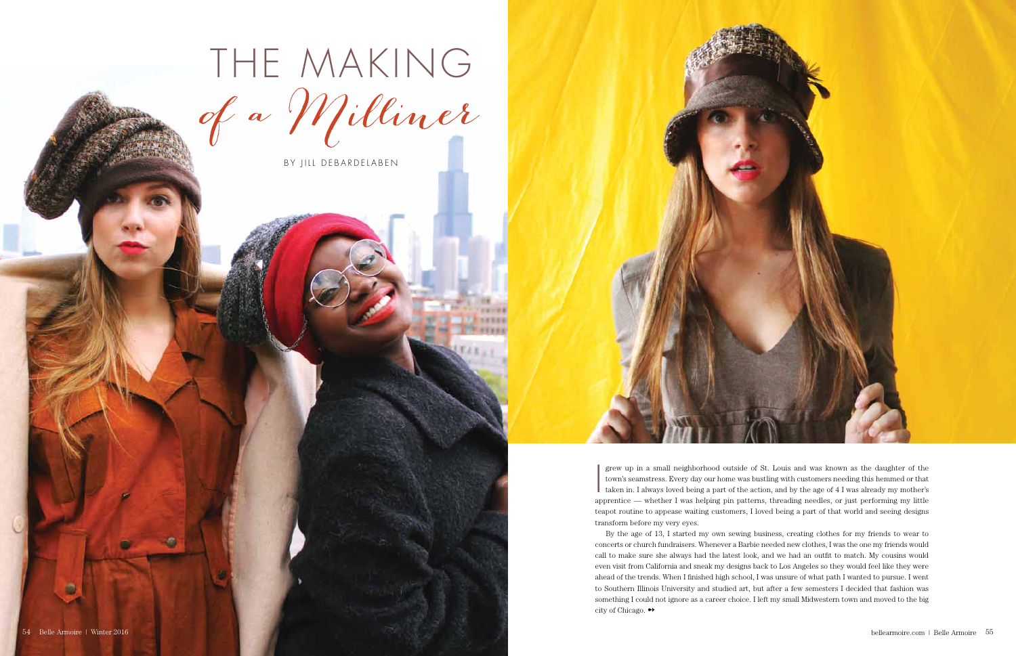grew up in a small neighborhood outside of St. Louis and was known as the daughter of the town's seamstress. Every day our home was bustling with customers needing this hemmed or that taken in. I always loved being a part grew up in a small neighborhood outside of St. Louis and was known as the daughter of the town's seamstress. Every day our home was bustling with customers needing this hemmed or that taken in. I always loved being a part of the action, and by the age of 4 I was already my mother's teapot routine to appease waiting customers, I loved being a part of that world and seeing designs transform before my very eyes.

By the age of 13, I started my own sewing business, creating clothes for my friends to wear to concerts or church fundraisers. Whenever a Barbie needed new clothes, I was the one my friends would call to make sure she always had the latest look, and we had an outfit to match. My cousins would even visit from California and sneak my designs back to Los Angeles so they would feel like they were ahead of the trends. When I finished high school, I was unsure of what path I wanted to pursue. I went to Southern Illinois University and studied art, but after a few semesters I decided that fashion was something I could not ignore as a career choice. I left my small Midwestern town and moved to the big city of Chicago. ➻



## The Making of a Milliner

BY JILL DEBARDELABEN